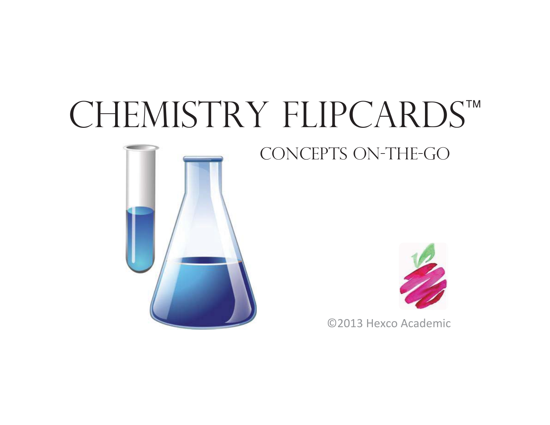# CHEMISTRY FLIPCARDS™





©2013 Hexco Academic

concepts on-the-go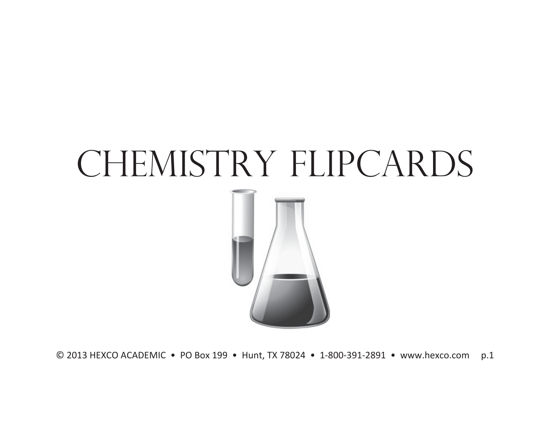## CHEMISTRY FLIPCARDS

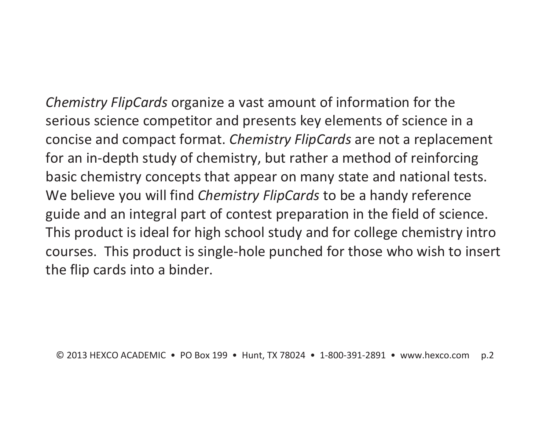*Chemistry FlipCards* organize a vast amount of information for the serious science competitor and presents key elements of science in a concise and compact format. *Chemistry FlipCards* are not a replacement for an in-depth study of chemistry, but rather a method of reinforcing basic chemistry concepts that appear on many state and national tests. We believe you will find *Chemistry FlipCards* to be a handy reference guide and an integral part of contest preparation in the field of science. This product is ideal for high school study and for college chemistry intro courses. This product is single-hole punched for those who wish to insert the flip cards into a binder.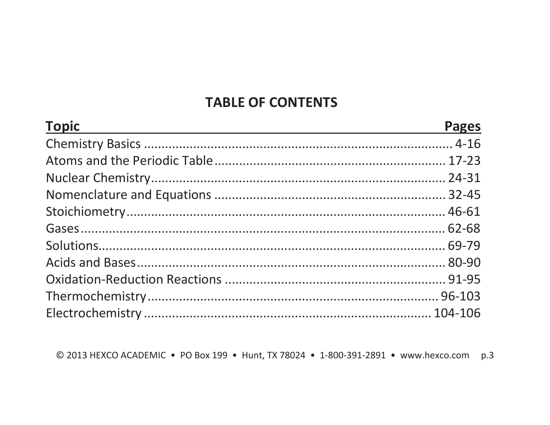#### **TABLE OF CONTENTS**

| <b>Topic</b> | <b>Pages</b> |
|--------------|--------------|
|              |              |
|              |              |
|              |              |
|              |              |
|              |              |
|              |              |
|              |              |
|              |              |
|              |              |
|              |              |
|              |              |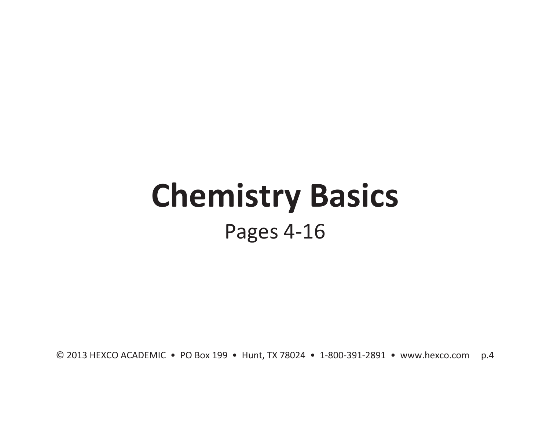### **Chemistry Basics**  Pages 4-16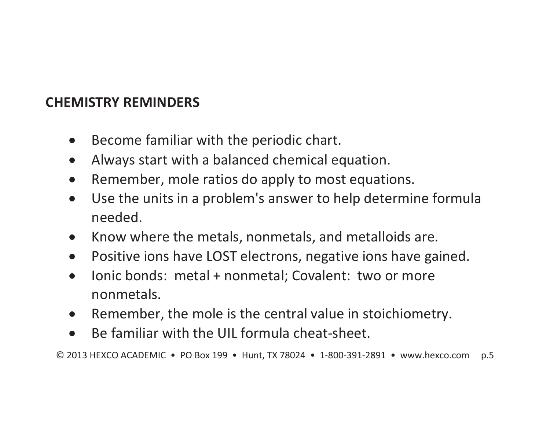#### **CHEMISTRY REMINDERS**

- $\bullet$ Become familiar with the periodic chart.
- $\bullet$ Always start with a balanced chemical equation.
- $\bullet$ Remember, mole ratios do apply to most equations.
- $\bullet$  Use the units in a problem's answer to help determine formula needed.
- $\bullet$ Know where the metals, nonmetals, and metalloids are.
- $\bullet$ Positive ions have LOST electrons, negative ions have gained.
- $\bullet$  Ionic bonds: metal + nonmetal; Covalent: two or more nonmetals.
- $\bullet$ Remember, the mole is the central value in stoichiometry.
- $\bullet$ Be familiar with the UIL formula cheat-sheet.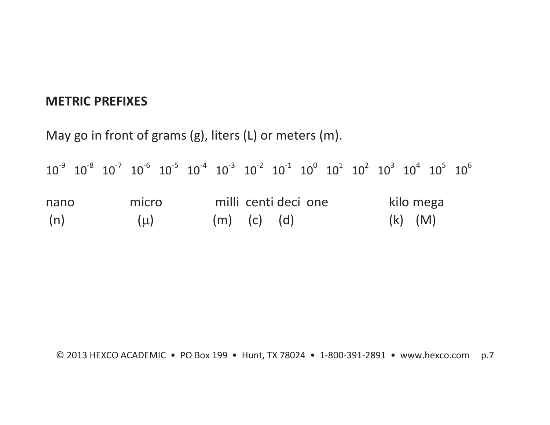#### **METRIC PREFIXES**

May go in front of grams (g), liters (L) or meters (m).

|      |  |         |  | $10^{-9}$ $10^{-8}$ $10^{-7}$ $10^{-6}$ $10^{-5}$ $10^{-4}$ $10^{-3}$ $10^{-2}$ $10^{-1}$ $10^{0}$ $10^{1}$ $10^{2}$ $10^{3}$ $10^{4}$ $10^{5}$ $10^{6}$ |                      |  |  |             |  |
|------|--|---------|--|----------------------------------------------------------------------------------------------------------------------------------------------------------|----------------------|--|--|-------------|--|
| nano |  | micro   |  |                                                                                                                                                          | milli centi deci one |  |  | kilo mega   |  |
| (n)  |  | $(\mu)$ |  | $(m)$ (c) (d)                                                                                                                                            |                      |  |  | $(k)$ $(M)$ |  |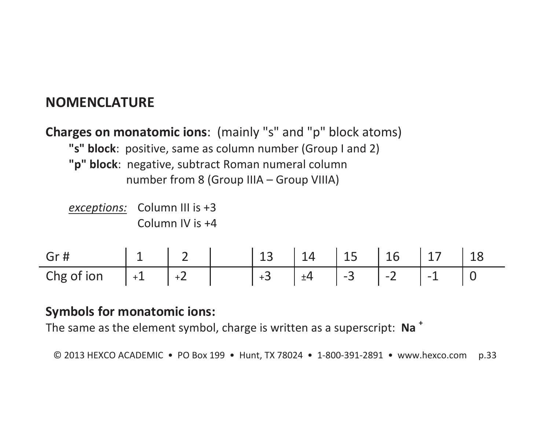#### **NOMENCLATURE**

#### **Charges on monatomic ions**: (mainly "s" and "p" block atoms) **"s" block**: positive, same as column number (Group I and 2) **"p" block**: negative, subtract Roman numeral column number from 8 (Group IIIA – Group VIIIA)

*exceptions:* Column III is +3 Column IV is +4

| $\int$ Gr $\int$ |        |       | 13           | 14 | $\vert 15 \vert$ | $\vert$ 16 |            |  |
|------------------|--------|-------|--------------|----|------------------|------------|------------|--|
| Chg of ion       | $ +1 $ | $ +2$ | $\sim$<br>+3 | ±4 | $1 - 3$          | $\vert$ -2 | . <b>.</b> |  |

#### **Symbols for monatomic ions:**

The same as the element symbol, charge is written as a superscript: **Na <sup>+</sup>**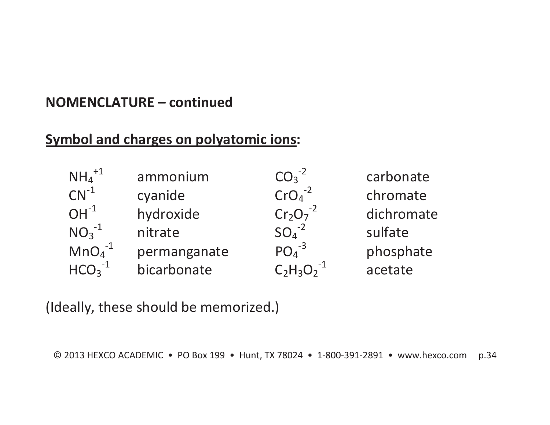#### **NOMENCLATURE – continued**

#### **Symbol and charges on polyatomic ions:**

| $NH_4^{+1}$ | ammonium     | $CO3-2$        | carbonate  |
|-------------|--------------|----------------|------------|
| $CN^{-1}$   | cyanide      | $CrO4-2$       | chromate   |
| $OH^{-1}$   | hydroxide    | $Cr_2O_7^{-2}$ | dichromate |
| $NO_3^{-1}$ | nitrate      | $SO4-2$        | sulfate    |
| $MnO4-1$    | permanganate | $PO4-3$        | phosphate  |
| $HCO3-1$    | bicarbonate  | $C_2H_3O_2$    | acetate    |

(Ideally, these should be memorized.)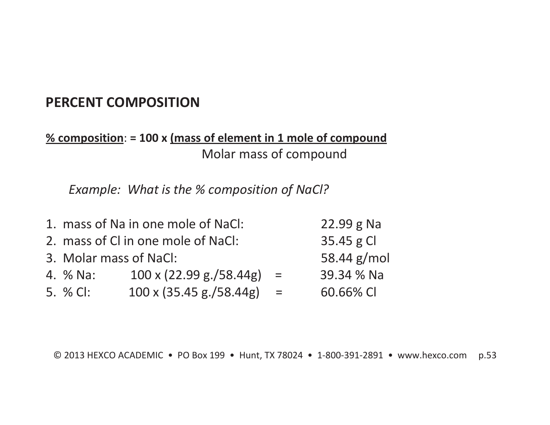#### **PERCENT COMPOSITION**

#### **% composition**: **= 100 x (mass of element in 1 mole of compound** Molar mass of compound

*Example: What is the % composition of NaCl?* 

|                                    | 1. mass of Na in one mole of NaCl:                |     | $22.99 g$ Na |
|------------------------------------|---------------------------------------------------|-----|--------------|
| 2. mass of Cl in one mole of NaCl: | 35.45 g Cl                                        |     |              |
| 3. Molar mass of NaCl:             | 58.44 $g/mol$                                     |     |              |
| 4. % Na:                           | $100 \times (22.99 \text{ g.}/58.44 \text{ g}) =$ |     | 39.34 % Na   |
| 5. % CI:                           | 100 x (35.45 g./58.44g)                           | $=$ | 60.66% CI    |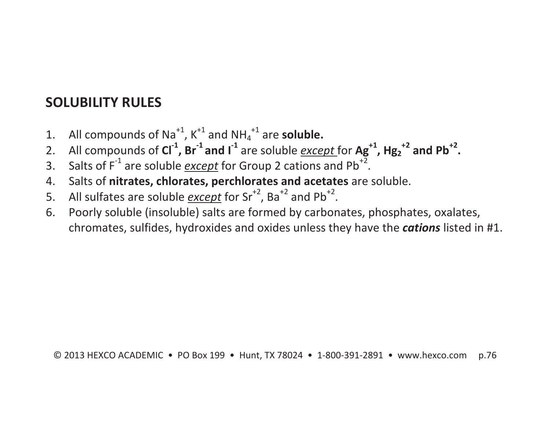#### **SOLUBILITY RULES**

- 1. All compounds of Na<sup>+1</sup>,  $K^{+1}$  and NH<sub>4</sub><sup>+1</sup> are **soluble.**
- 2. All compounds of **Cl-1, Br-1 and I-<sup>1</sup>** are soluble *except* for **Ag+1, Hg2+2 and Pb+2.**
- 3. Salts of F<sup>-1</sup> are soluble *except* for Group 2 cations and Pb<sup>+2</sup>.
- 4. Salts of **nitrates, chlorates, perchlorates and acetates** are soluble.
- 5. All sulfates are soluble *except* for Sr<sup>+2</sup>, Ba<sup>+2</sup> and Pb<sup>+2</sup>.
- 6. Poorly soluble (insoluble) salts are formed by carbonates, phosphates, oxalates, chromates, sulfides, hydroxides and oxides unless they have the *cations* listed in #1.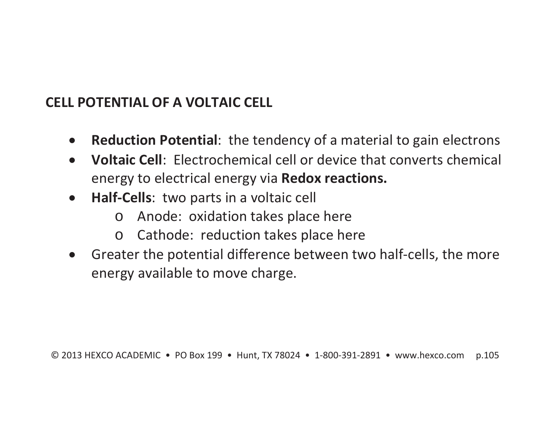#### **CELL POTENTIAL OF A VOLTAIC CELL**

- $\bullet$ **Reduction Potential**: the tendency of a material to gain electrons
- $\bullet$  **Voltaic Cell**: Electrochemical cell or device that converts chemical energy to electrical energy via **Redox reactions.**
- $\bullet$  **Half-Cells**: two parts in a voltaic cell
	- oAnode: oxidation takes place here
	- $\bigcap$ Cathode: reduction takes place here
- $\bullet$  Greater the potential difference between two half-cells, the more energy available to move charge.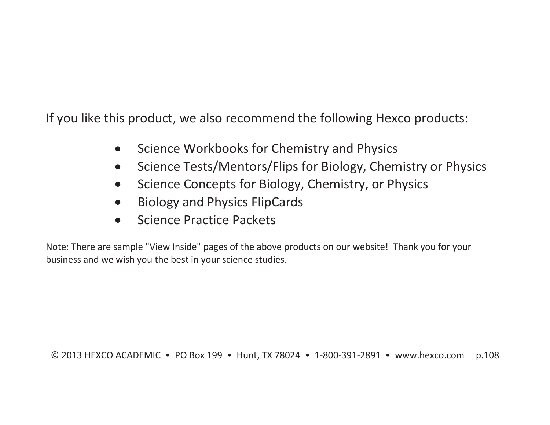If you like this product, we also recommend the following Hexco products:

- $\bullet$ Science Workbooks for Chemistry and Physics
- $\bullet$ Science Tests/Mentors/Flips for Biology, Chemistry or Physics
- $\bullet$ Science Concepts for Biology, Chemistry, or Physics
- $\bullet$ Biology and Physics FlipCards
- $\bullet$ Science Practice Packets

Note: There are sample "View Inside" pages of the above products on our website! Thank you for your business and we wish you the best in your science studies.